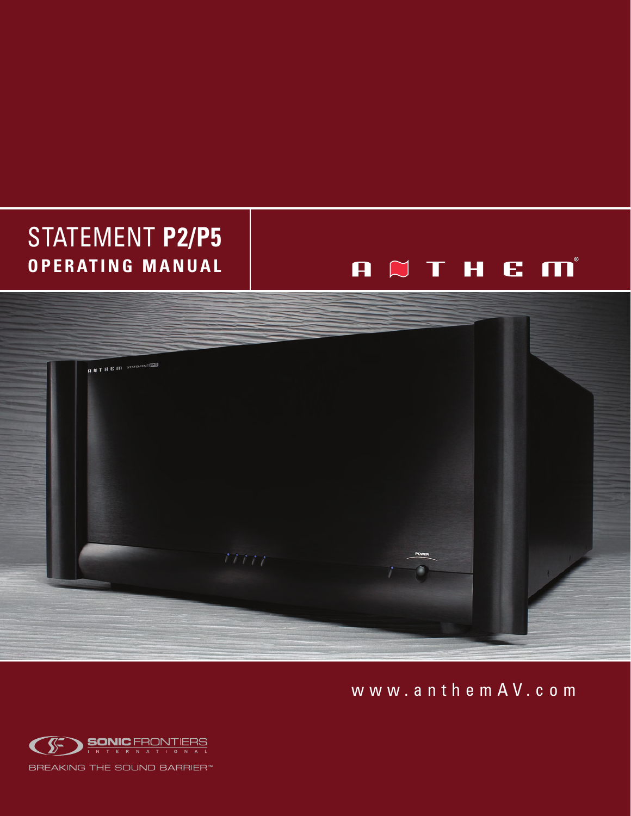# STATEMENT **P2/P5 O P E R AT I N G M A N U A L**

# A  $\bowtie$  T H E M<sup>®</sup>



w w w . a n t h e m A V . c o m

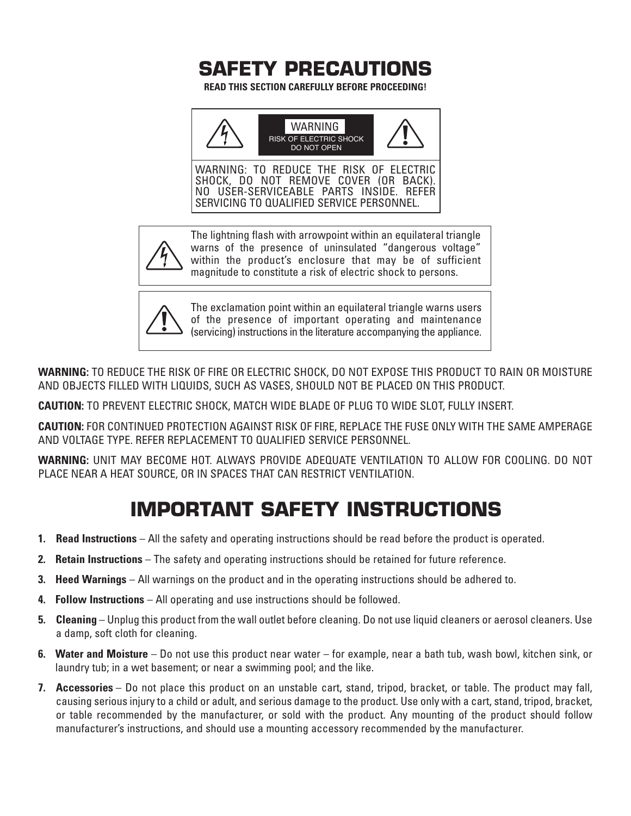

**READ THIS SECTION CAREFULLY BEFORE PROCEEDING!**



WARNING: TO REDUCE THE RISK OF ELECTRIC SHOCK, DO NOT REMOVE COVER (OR BACK). NO USER-SERVICEABLE PARTS INSIDE. REFER SERVICING TO QUALIFIED SERVICE PERSONNEL.



The lightning flash with arrowpoint within an equilateral triangle warns of the presence of uninsulated "dangerous voltage" within the product's enclosure that may be of sufficient magnitude to constitute a risk of electric shock to persons.



The exclamation point within an equilateral triangle warns users of the presence of important operating and maintenance (servicing) instructions in the literature accompanying the appliance.

**WARNING:** TO REDUCE THE RISK OF FIRE OR ELECTRIC SHOCK, DO NOT EXPOSE THIS PRODUCT TO RAIN OR MOISTURE AND OBJECTS FILLED WITH LIQUIDS, SUCH AS VASES, SHOULD NOT BE PLACED ON THIS PRODUCT.

**CAUTION:** TO PREVENT ELECTRIC SHOCK, MATCH WIDE BLADE OF PLUG TO WIDE SLOT, FULLY INSERT.

**CAUTION:** FOR CONTINUED PROTECTION AGAINST RISK OF FIRE, REPLACE THE FUSE ONLY WITH THE SAME AMPERAGE AND VOLTAGE TYPE. REFER REPLACEMENT TO QUALIFIED SERVICE PERSONNEL.

**WARNING:** UNIT MAY BECOME HOT. ALWAYS PROVIDE ADEQUATE VENTILATION TO ALLOW FOR COOLING. DO NOT PLACE NEAR A HEAT SOURCE, OR IN SPACES THAT CAN RESTRICT VENTILATION.

## **IMPORTANT SAFETY INSTRUCTIONS**

- **1. Read Instructions** All the safety and operating instructions should be read before the product is operated.
- **2. Retain Instructions** The safety and operating instructions should be retained for future reference.
- **3. Heed Warnings** All warnings on the product and in the operating instructions should be adhered to.
- **4. Follow Instructions** All operating and use instructions should be followed.
- **5. Cleaning** Unplug this product from the wall outlet before cleaning. Do not use liquid cleaners or aerosol cleaners. Use a damp, soft cloth for cleaning.
- **6. Water and Moisture** Do not use this product near water for example, near a bath tub, wash bowl, kitchen sink, or laundry tub; in a wet basement; or near a swimming pool; and the like.
- **7. Accessories** Do not place this product on an unstable cart, stand, tripod, bracket, or table. The product may fall, causing serious injury to a child or adult, and serious damage to the product. Use only with a cart, stand, tripod, bracket, or table recommended by the manufacturer, or sold with the product. Any mounting of the product should follow manufacturer's instructions, and should use a mounting accessory recommended by the manufacturer.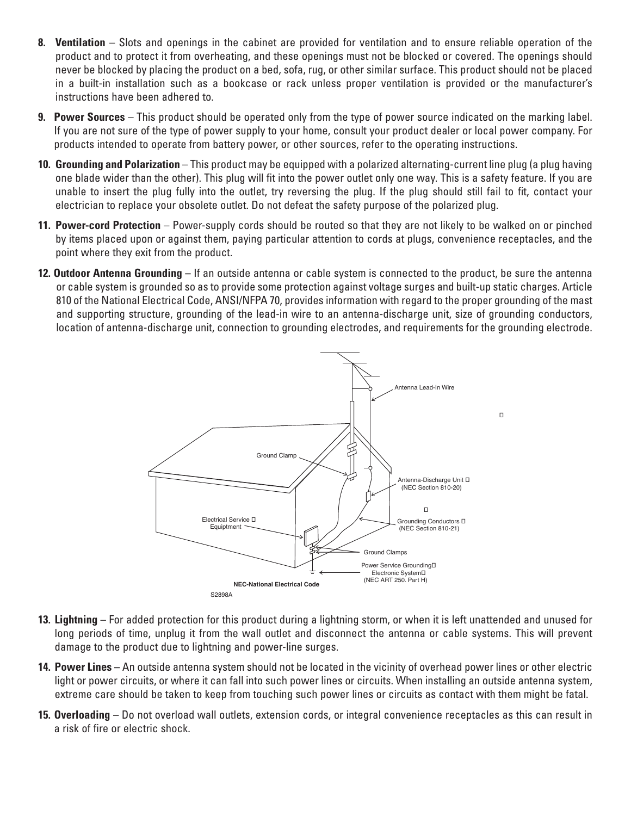- **8. Ventilation** Slots and openings in the cabinet are provided for ventilation and to ensure reliable operation of the product and to protect it from overheating, and these openings must not be blocked or covered. The openings should never be blocked by placing the product on a bed, sofa, rug, or other similar surface. This product should not be placed in a built-in installation such as a bookcase or rack unless proper ventilation is provided or the manufacturer's instructions have been adhered to.
- **9. Power Sources** This product should be operated only from the type of power source indicated on the marking label. If you are not sure of the type of power supply to your home, consult your product dealer or local power company. For products intended to operate from battery power, or other sources, refer to the operating instructions.
- **10. Grounding and Polarization** This product may be equipped with a polarized alternating-current line plug (a plug having one blade wider than the other). This plug will fit into the power outlet only one way. This is a safety feature. If you are unable to insert the plug fully into the outlet, try reversing the plug. If the plug should still fail to fit, contact your electrician to replace your obsolete outlet. Do not defeat the safety purpose of the polarized plug.
- **11. Power-cord Protection** Power-supply cords should be routed so that they are not likely to be walked on or pinched by items placed upon or against them, paying particular attention to cords at plugs, convenience receptacles, and the point where they exit from the product.
- **12. Outdoor Antenna Grounding –** If an outside antenna or cable system is connected to the product, be sure the antenna or cable system is grounded so as to provide some protection against voltage surges and built-up static charges. Article 810 of the National Electrical Code, ANSI/NFPA 70, provides information with regard to the proper grounding of the mast and supporting structure, grounding of the lead-in wire to an antenna-discharge unit, size of grounding conductors, location of antenna-discharge unit, connection to grounding electrodes, and requirements for the grounding electrode.



- **13. Lightning** For added protection for this product during a lightning storm, or when it is left unattended and unused for long periods of time, unplug it from the wall outlet and disconnect the antenna or cable systems. This will prevent damage to the product due to lightning and power-line surges.
- **14. Power Lines –** An outside antenna system should not be located in the vicinity of overhead power lines or other electric light or power circuits, or where it can fall into such power lines or circuits. When installing an outside antenna system, extreme care should be taken to keep from touching such power lines or circuits as contact with them might be fatal.
- **15. Overloading** Do not overload wall outlets, extension cords, or integral convenience receptacles as this can result in a risk of fire or electric shock.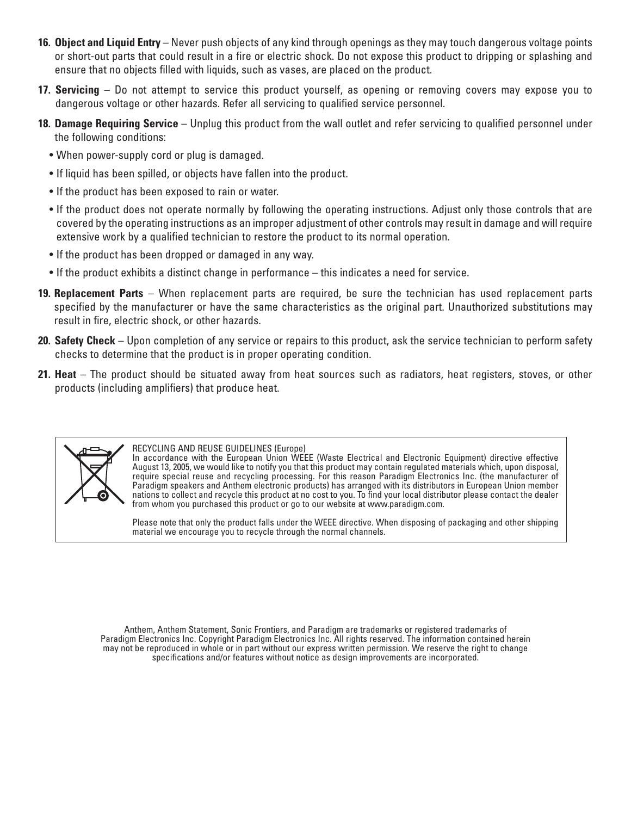- **16. Object and Liquid Entry** Never push objects of any kind through openings as they may touch dangerous voltage points or short-out parts that could result in a fire or electric shock. Do not expose this product to dripping or splashing and ensure that no objects filled with liquids, such as vases, are placed on the product.
- **17. Servicing** Do not attempt to service this product yourself, as opening or removing covers may expose you to dangerous voltage or other hazards. Refer all servicing to qualified service personnel.
- **18. Damage Requiring Service** Unplug this product from the wall outlet and refer servicing to qualified personnel under the following conditions:
	- When power-supply cord or plug is damaged.
	- If liquid has been spilled, or objects have fallen into the product.
	- If the product has been exposed to rain or water.
	- If the product does not operate normally by following the operating instructions. Adjust only those controls that are covered by the operating instructions as an improper adjustment of other controls may result in damage and will require extensive work by a qualified technician to restore the product to its normal operation.
	- If the product has been dropped or damaged in any way.
	- If the product exhibits a distinct change in performance this indicates a need for service.
- **19. Replacement Parts** When replacement parts are required, be sure the technician has used replacement parts specified by the manufacturer or have the same characteristics as the original part. Unauthorized substitutions may result in fire, electric shock, or other hazards.
- **20. Safety Check** Upon completion of any service or repairs to this product, ask the service technician to perform safety checks to determine that the product is in proper operating condition.
- **21. Heat** The product should be situated away from heat sources such as radiators, heat registers, stoves, or other products (including amplifiers) that produce heat.



#### RECYCLING AND REUSE GUIDELINES (Europe)

In accordance with the European Union WEEE (Waste Electrical and Electronic Equipment) directive effective August 13, 2005, we would like to notify you that this product may contain regulated materials which, upon disposal, require special reuse and recycling processing. For this reason Paradigm Electronics Inc. (the manufacturer of Paradigm speakers and Anthem electronic products) has arranged with its distributors in European Union member nations to collect and recycle this product at no cost to you. To find your local distributor please contact the dealer from whom you purchased this product or go to our website at www.paradigm.com.

Please note that only the product falls under the WEEE directive. When disposing of packaging and other shipping material we encourage you to recycle through the normal channels.

Anthem, Anthem Statement, Sonic Frontiers, and Paradigm are trademarks or registered trademarks of Paradigm Electronics Inc. Copyright Paradigm Electronics Inc. All rights reserved. The information contained herein may not be reproduced in whole or in part without our express written permission. We reserve the right to change specifications and/or features without notice as design improvements are incorporated.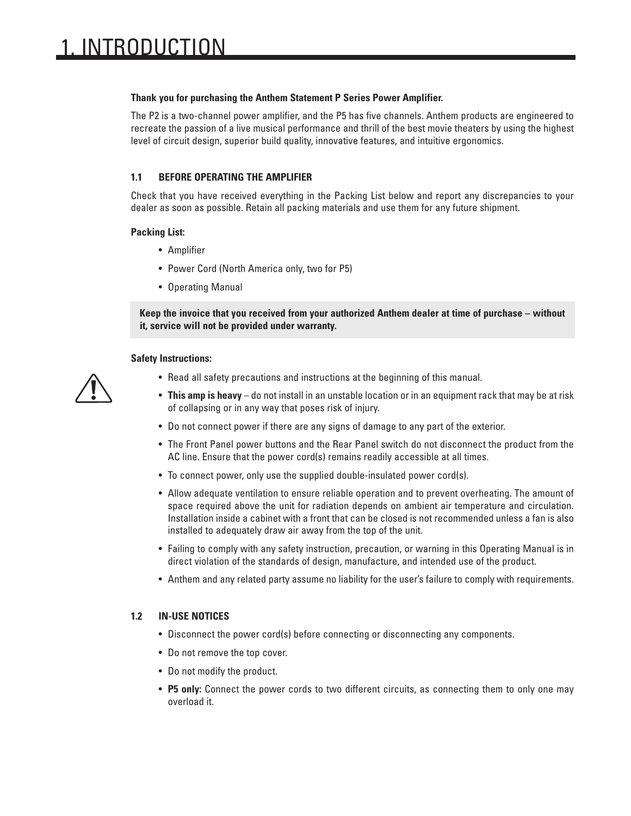#### **Thank you for purchasing the Anthem Statement P Series Power Amplifier.**

The P2 is a two-channel power amplifier, and the P5 has five channels. Anthem products are engineered to recreate the passion of a live musical performance and thrill of the best movie theaters by using the highest level of circuit design, superior build quality, innovative features, and intuitive ergonomics.

### **1.1 BEFORE OPERATING THE AMPLIFIER**

Check that you have received everything in the Packing List below and report any discrepancies to your dealer as soon as possible. Retain all packing materials and use them for any future shipment.

#### **Packing List:**

- Amplifier
- Power Cord (North America only, two for P5)
- Operating Manual

**Keep the invoice that you received from your authorized Anthem dealer at time of purchase – without it, service will not be provided under warranty.**

#### **Safety Instructions:**



- Read all safety precautions and instructions at the beginning of this manual.
- **This amp is heavy** do not install in an unstable location or in an equipment rack that may be at risk of collapsing or in any way that poses risk of injury.
- Do not connect power if there are any signs of damage to any part of the exterior.
- The Front Panel power buttons and the Rear Panel switch do not disconnect the product from the AC line. Ensure that the power cord(s) remains readily accessible at all times.
- To connect power, only use the supplied double-insulated power cord(s).
- Allow adequate ventilation to ensure reliable operation and to prevent overheating. The amount of space required above the unit for radiation depends on ambient air temperature and circulation. Installation inside a cabinet with a front that can be closed is not recommended unless a fan is also installed to adequately draw air away from the top of the unit.
- Failing to comply with any safety instruction, precaution, or warning in this Operating Manual is in direct violation of the standards of design, manufacture, and intended use of the product.
- Anthem and any related party assume no liability for the user's failure to comply with requirements.

### **1.2 IN-USE NOTICES**

- Disconnect the power cord(s) before connecting or disconnecting any components.
- Do not remove the top cover.
- Do not modify the product.
- **P5 only:** Connect the power cords to two different circuits, as connecting them to only one may overload it.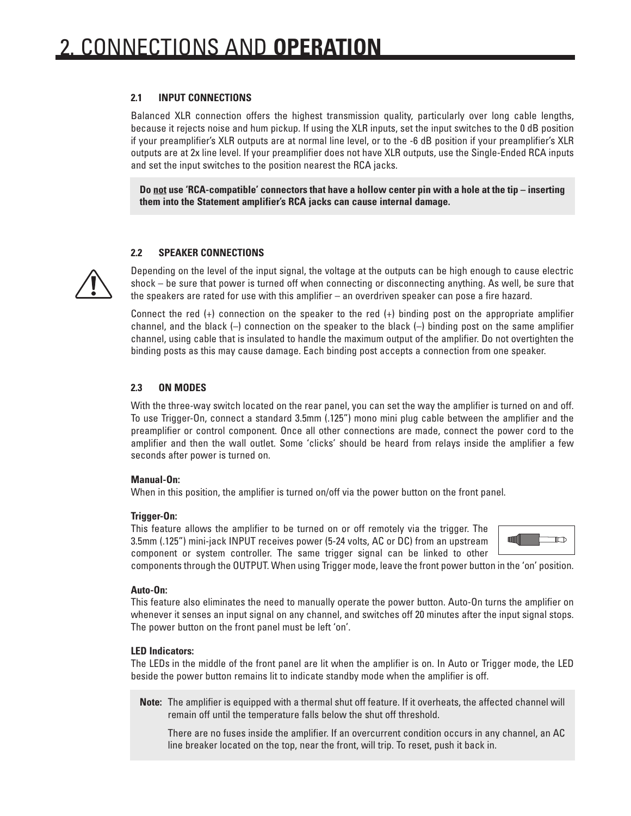### **2.1 INPUT CONNECTIONS**

Balanced XLR connection offers the highest transmission quality, particularly over long cable lengths, because it rejects noise and hum pickup. If using the XLR inputs, set the input switches to the 0 dB position if your preamplifier's XLR outputs are at normal line level, or to the -6 dB position if your preamplifier's XLR outputs are at 2x line level. If your preamplifier does not have XLR outputs, use the Single-Ended RCA inputs and set the input switches to the position nearest the RCA jacks.

**Do not use 'RCA-compatible' connectors that have a hollow center pin with a hole at the tip – inserting them into the Statement amplifier's RCA jacks can cause internal damage.**

### **2.2 SPEAKER CONNECTIONS**

Depending on the level of the input signal, the voltage at the outputs can be high enough to cause electric shock – be sure that power is turned off when connecting or disconnecting anything. As well, be sure that the speakers are rated for use with this amplifier – an overdriven speaker can pose a fire hazard.

Connect the red  $(+)$  connection on the speaker to the red  $(+)$  binding post on the appropriate amplifier channel, and the black (–) connection on the speaker to the black (–) binding post on the same amplifier channel, using cable that is insulated to handle the maximum output of the amplifier. Do not overtighten the binding posts as this may cause damage. Each binding post accepts a connection from one speaker.

#### **2.3 ON MODES**

With the three-way switch located on the rear panel, you can set the way the amplifier is turned on and off. To use Trigger-On, connect a standard 3.5mm (.125") mono mini plug cable between the amplifier and the preamplifier or control component. Once all other connections are made, connect the power cord to the amplifier and then the wall outlet. Some 'clicks' should be heard from relays inside the amplifier a few seconds after power is turned on.

#### **Manual-On:**

When in this position, the amplifier is turned on/off via the power button on the front panel.

#### **Trigger-On:**

This feature allows the amplifier to be turned on or off remotely via the trigger. The 3.5mm (.125") mini-jack INPUT receives power (5-24 volts, AC or DC) from an upstream component or system controller. The same trigger signal can be linked to other



components through the OUTPUT. When using Trigger mode, leave the front power button in the 'on' position.

#### **Auto-On:**

This feature also eliminates the need to manually operate the power button. Auto-On turns the amplifier on whenever it senses an input signal on any channel, and switches off 20 minutes after the input signal stops. The power button on the front panel must be left 'on'.

#### **LED Indicators:**

The LEDs in the middle of the front panel are lit when the amplifier is on. In Auto or Trigger mode, the LED beside the power button remains lit to indicate standby mode when the amplifier is off.

**Note:** The amplifier is equipped with a thermal shut off feature. If it overheats, the affected channel will remain off until the temperature falls below the shut off threshold.

There are no fuses inside the amplifier. If an overcurrent condition occurs in any channel, an AC line breaker located on the top, near the front, will trip. To reset, push it back in.

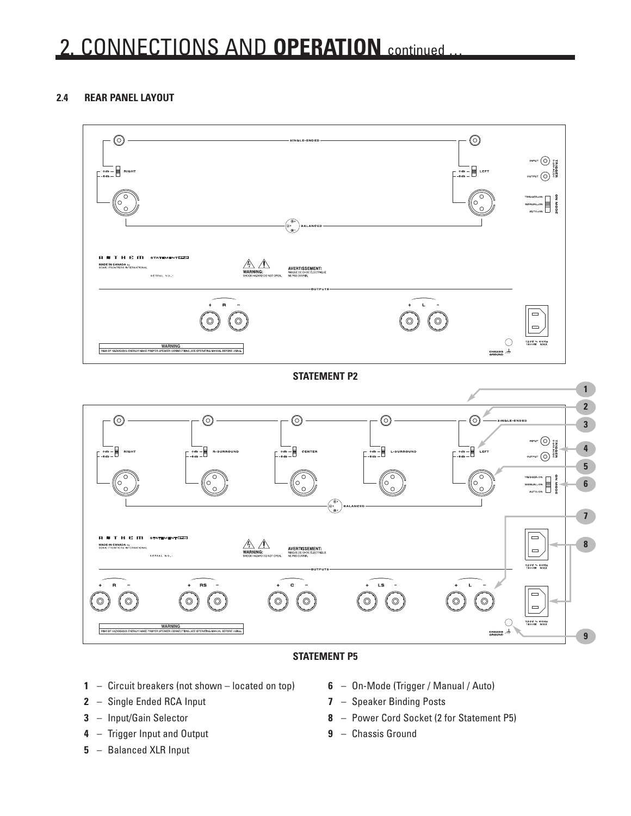# 2. CONNECTIONS AND **OPERATION** continued …

## **2.4 REAR PANEL LAYOUT**



### **STATEMENT P5**

- Circuit breakers (not shown located on top)
- Single Ended RCA Input
- Input/Gain Selector
- Trigger Input and Output
- Balanced XLR Input
- On-Mode (Trigger / Manual / Auto)
- Speaker Binding Posts
- Power Cord Socket (2 for Statement P5)
- Chassis Ground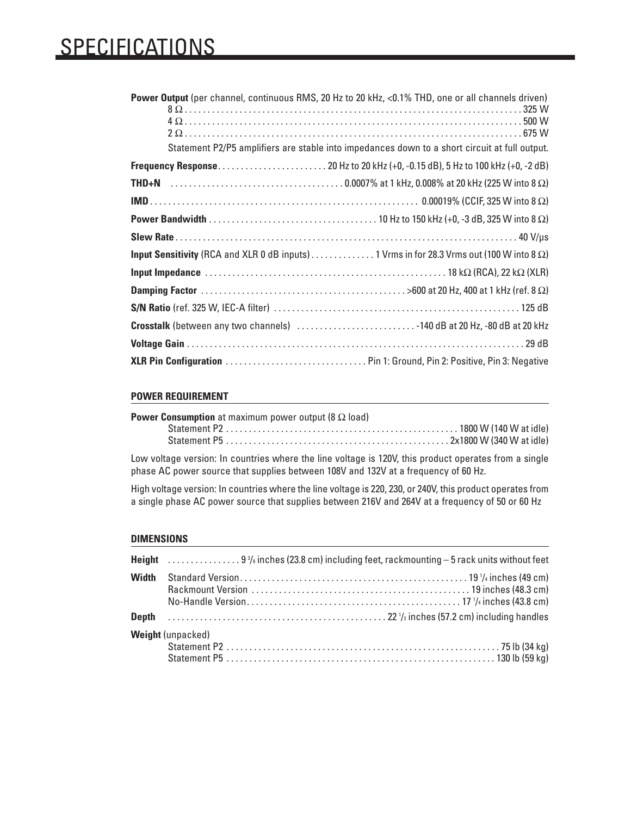# SPECIFICATIONS

| Power Output (per channel, continuous RMS, 20 Hz to 20 kHz, <0.1% THD, one or all channels driven)<br>Statement P2/P5 amplifiers are stable into impedances down to a short circuit at full output. |  |
|-----------------------------------------------------------------------------------------------------------------------------------------------------------------------------------------------------|--|
|                                                                                                                                                                                                     |  |
|                                                                                                                                                                                                     |  |
|                                                                                                                                                                                                     |  |
|                                                                                                                                                                                                     |  |
|                                                                                                                                                                                                     |  |
| Input Sensitivity (RCA and XLR 0 dB inputs) 1 Vrms in for 28.3 Vrms out (100 W into 8 $\Omega$ )                                                                                                    |  |
| Input Impedance $\dots\dots\dots\dots\dots\dots\dots\dots\dots\dots\dots\dots\dots\dots\dots\dots\dots$ 18 k $\Omega$ (RCA), 22 k $\Omega$ (XLR)                                                    |  |
|                                                                                                                                                                                                     |  |
|                                                                                                                                                                                                     |  |
| Crosstalk (between any two channels) 140 dB at 20 Hz, -80 dB at 20 kHz                                                                                                                              |  |
|                                                                                                                                                                                                     |  |
|                                                                                                                                                                                                     |  |

#### **POWER REQUIREMENT**

| <b>Power Consumption</b> at maximum power output (8 $\Omega$ load) |  |
|--------------------------------------------------------------------|--|
|                                                                    |  |
|                                                                    |  |

Low voltage version: In countries where the line voltage is 120V, this product operates from a single phase AC power source that supplies between 108V and 132V at a frequency of 60 Hz.

High voltage version: In countries where the line voltage is 220, 230, or 240V, this product operates from a single phase AC power source that supplies between 216V and 264V at a frequency of 50 or 60 Hz

#### **DIMENSIONS**

| <b>Width</b> |                          |
|--------------|--------------------------|
|              |                          |
|              | <b>Weight (unpacked)</b> |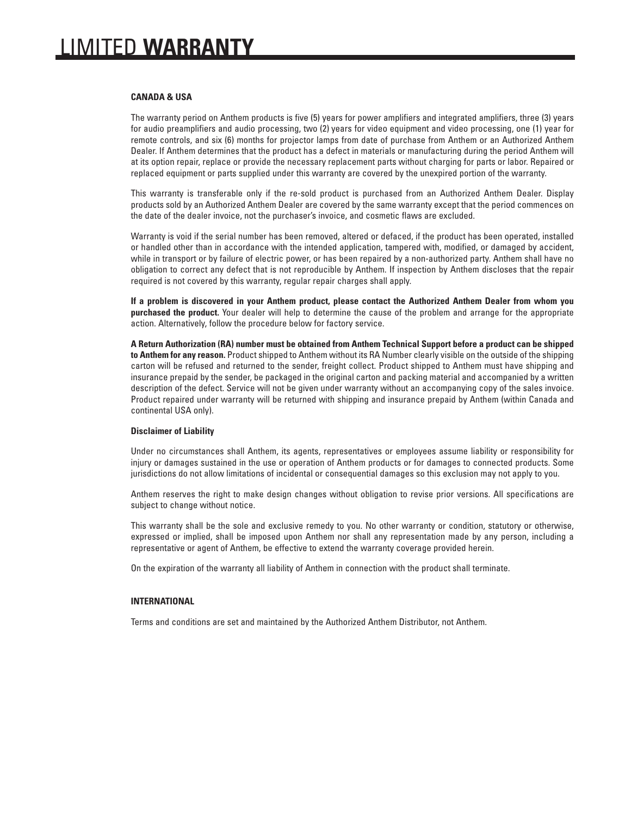#### **CANADA & USA**

The warranty period on Anthem products is five (5) years for power amplifiers and integrated amplifiers, three (3) years for audio preamplifiers and audio processing, two (2) years for video equipment and video processing, one (1) year for remote controls, and six (6) months for projector lamps from date of purchase from Anthem or an Authorized Anthem Dealer. If Anthem determines that the product has a defect in materials or manufacturing during the period Anthem will at its option repair, replace or provide the necessary replacement parts without charging for parts or labor. Repaired or replaced equipment or parts supplied under this warranty are covered by the unexpired portion of the warranty.

This warranty is transferable only if the re-sold product is purchased from an Authorized Anthem Dealer. Display products sold by an Authorized Anthem Dealer are covered by the same warranty except that the period commences on the date of the dealer invoice, not the purchaser's invoice, and cosmetic flaws are excluded.

Warranty is void if the serial number has been removed, altered or defaced, if the product has been operated, installed or handled other than in accordance with the intended application, tampered with, modified, or damaged by accident, while in transport or by failure of electric power, or has been repaired by a non-authorized party. Anthem shall have no obligation to correct any defect that is not reproducible by Anthem. If inspection by Anthem discloses that the repair required is not covered by this warranty, regular repair charges shall apply.

**If a problem is discovered in your Anthem product, please contact the Authorized Anthem Dealer from whom you purchased the product.** Your dealer will help to determine the cause of the problem and arrange for the appropriate action. Alternatively, follow the procedure below for factory service.

**A Return Authorization (RA) number must be obtained from Anthem Technical Support before a product can be shipped to Anthem for any reason.** Product shipped to Anthem without its RA Number clearly visible on the outside of the shipping carton will be refused and returned to the sender, freight collect. Product shipped to Anthem must have shipping and insurance prepaid by the sender, be packaged in the original carton and packing material and accompanied by a written description of the defect. Service will not be given under warranty without an accompanying copy of the sales invoice. Product repaired under warranty will be returned with shipping and insurance prepaid by Anthem (within Canada and continental USA only).

#### **Disclaimer of Liability**

Under no circumstances shall Anthem, its agents, representatives or employees assume liability or responsibility for injury or damages sustained in the use or operation of Anthem products or for damages to connected products. Some jurisdictions do not allow limitations of incidental or consequential damages so this exclusion may not apply to you.

Anthem reserves the right to make design changes without obligation to revise prior versions. All specifications are subject to change without notice.

This warranty shall be the sole and exclusive remedy to you. No other warranty or condition, statutory or otherwise, expressed or implied, shall be imposed upon Anthem nor shall any representation made by any person, including a representative or agent of Anthem, be effective to extend the warranty coverage provided herein.

On the expiration of the warranty all liability of Anthem in connection with the product shall terminate.

#### **INTERNATIONAL**

Terms and conditions are set and maintained by the Authorized Anthem Distributor, not Anthem.